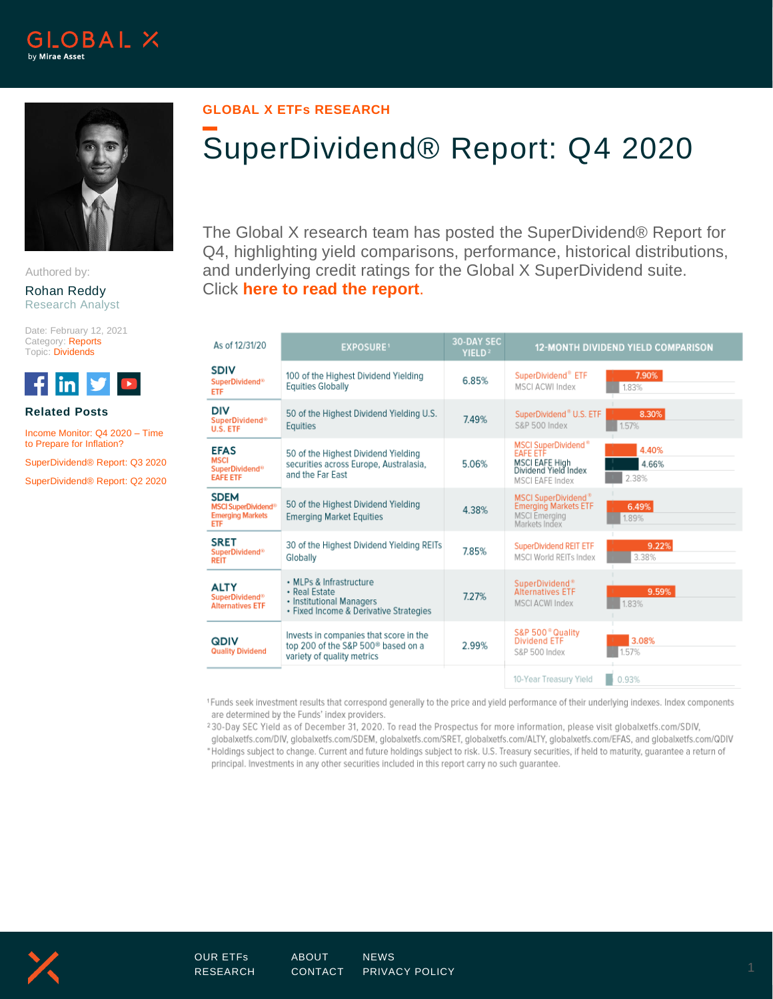



Authored by:

#### Rohan Reddy Research Analyst

Date: February 12, 2021 Category: Reports Topic: Dividends



### **Related Posts**

[Income Monitor: Q4 2020 –](https://www.globalxetfs.com/income-monitor-q4-2020-time-to-prepare-for-inflation/) Time [to Prepare for Inflation?](https://www.globalxetfs.com/income-monitor-q4-2020-time-to-prepare-for-inflation/)

[SuperDividend® Report: Q3 2020](https://www.globalxetfs.com/superdividend-report-q3-2020/)

[SuperDividend® Report: Q2 2020](https://www.globalxetfs.com/superdividend-report-q2-2020/)

## **GLOBAL X ETFs RESEARCH**

# SuperDividend® Report: Q4 2020

The Global X research team has posted the SuperDividend® Report for Q4, highlighting yield comparisons, performance, historical distributions, and underlying credit ratings for the Global X SuperDividend suite. Click **[here to read the report](https://www.globalxetfs.com/content/files/SuperDividend-Report-2020-Q4.pdf)**.

| As of 12/31/20                                                                                | <b>EXPOSURE1</b>                                                                                                       | <b>30-DAY SEC</b><br>YIELD <sup>2</sup> | <b>12-MONTH DIVIDEND YIELD COMPARISON</b>                                                                              |                         |  |
|-----------------------------------------------------------------------------------------------|------------------------------------------------------------------------------------------------------------------------|-----------------------------------------|------------------------------------------------------------------------------------------------------------------------|-------------------------|--|
| <b>SDIV</b><br><b>SuperDividend®</b><br><b>ETF</b>                                            | 100 of the Highest Dividend Yielding<br><b>Equities Globally</b>                                                       | 6.85%                                   | SuperDividend® ETF<br>MSCI ACWI Index                                                                                  | 7.90%<br>1.83%          |  |
| DIV<br><b>SuperDividend®</b><br>U.S. ETF                                                      | 50 of the Highest Dividend Yielding U.S.<br><b>Equities</b>                                                            | 7.49%                                   | SuperDividend® U.S. ETF<br>S&P 500 Index                                                                               | 8.30%<br>1.57%          |  |
| <b>EFAS</b><br><b>MSCI</b><br>SuperDividend <sup>®</sup><br><b>EAFE ETF</b>                   | 50 of the Highest Dividend Yielding<br>securities across Europe, Australasia,<br>and the Far East                      | 5.06%                                   | MSCI SuperDividend <sup>®</sup><br><b>FAFE ETF</b><br><b>MSCI EAFE High</b><br>Dividend Yield Index<br>MSCI EAFE Index | 4.40%<br>4.66%<br>2.38% |  |
| <b>SDEM</b><br><b>MSCI SuperDividend<sup>®</sup></b><br><b>Emerging Markets</b><br><b>ETF</b> | 50 of the Highest Dividend Yielding<br><b>Emerging Market Equities</b>                                                 | 4.38%                                   | MSCI SuperDividend®<br><b>Emerging Markets ETF</b><br><b>MSCI</b> Emerging<br>Markets Index                            | 6.49%<br>1.89%          |  |
| <b>SRET</b><br>SuperDividend <sup>®</sup><br><b>REIT</b>                                      | 30 of the Highest Dividend Yielding REITs<br>Globally                                                                  | 7.85%                                   | <b>SuperDividend REIT ETF</b><br>MSCI World REITs Index                                                                | 9.22%<br>3.38%          |  |
| <b>ALTY</b><br><b>SuperDividend<sup>®</sup></b><br><b>Alternatives ETF</b>                    | • MLPs & Infrastructure<br>• Real Estate<br>• Institutional Managers<br>· Fixed Income & Derivative Strategies         | 7.27%                                   | SuperDividend®<br><b>Alternatives ETF</b><br>MSCI ACWI Index                                                           | 9.59%<br>1.83%          |  |
| <b>QDIV</b><br><b>Quality Dividend</b>                                                        | Invests in companies that score in the<br>top 200 of the S&P 500 <sup>®</sup> based on a<br>variety of quality metrics | 2.99%                                   | S&P 500 <sup>®</sup> Quality<br><b>Dividend ETF</b><br>S&P 500 Index                                                   | 3.08%<br>1.57%          |  |
|                                                                                               |                                                                                                                        |                                         | 10-Year Treasury Yield                                                                                                 | 0.93%                   |  |

<sup>1</sup>Funds seek investment results that correspond generally to the price and yield performance of their underlying indexes. Index components are determined by the Funds' index providers.

<sup>2</sup>30-Day SEC Yield as of December 31, 2020. To read the Prospectus for more information, please visit globalxetfs.com/SDIV, globalxetfs.com/DIV, globalxetfs.com/SDEM, globalxetfs.com/SRET, globalxetfs.com/ALTY, globalxetfs.com/EFAS, and globalxetfs.com/QDIV

\*Holdings subject to change. Current and future holdings subject to risk. U.S. Treasury securities, if held to maturity, guarantee a return of principal. Investments in any other securities included in this report carry no such guarantee.

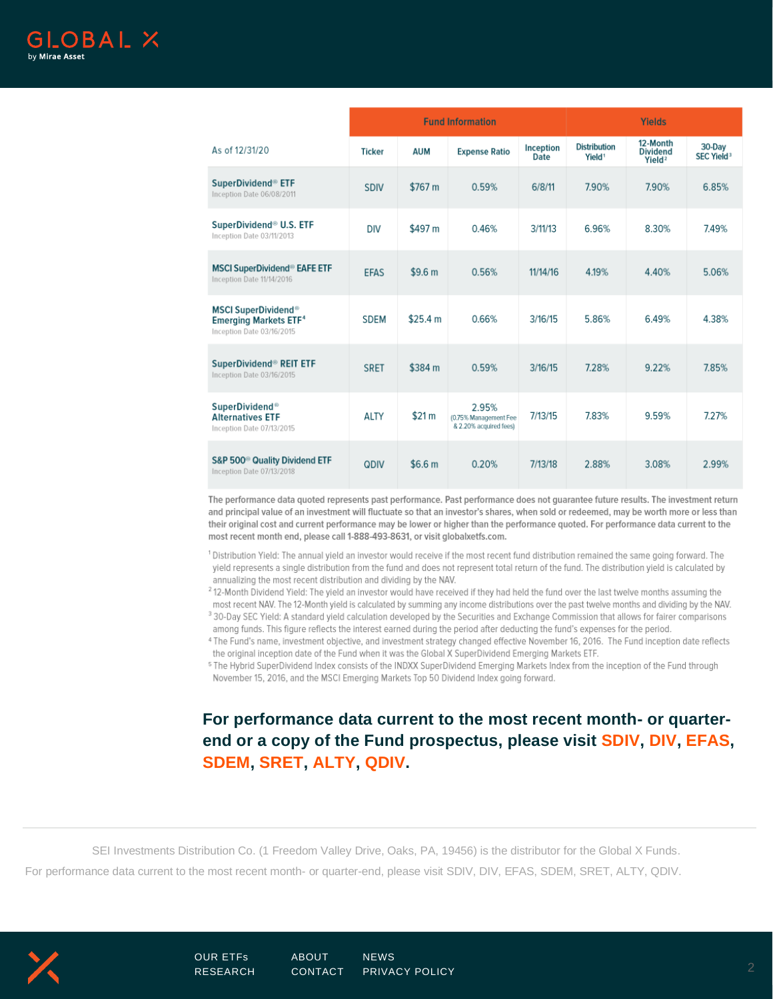|                                                                                                               | <b>Fund Information</b> |                    |                                                          |                   | Yields                                    |                                                   |                                        |
|---------------------------------------------------------------------------------------------------------------|-------------------------|--------------------|----------------------------------------------------------|-------------------|-------------------------------------------|---------------------------------------------------|----------------------------------------|
| As of 12/31/20                                                                                                | <b>Ticker</b>           | <b>AUM</b>         | <b>Expense Ratio</b>                                     | Inception<br>Date | <b>Distribution</b><br>Yield <sup>1</sup> | 12-Month<br><b>Dividend</b><br>Yield <sup>2</sup> | 30-Day<br><b>SEC Yield<sup>3</sup></b> |
| SuperDividend <sup>®</sup> ETF<br>Inception Date 06/08/2011                                                   | <b>SDIV</b>             | \$767 m            | 0.59%                                                    | 6/8/11            | 7.90%                                     | 7.90%                                             | 6.85%                                  |
| SuperDividend <sup>®</sup> U.S. ETF<br>Inception Date 03/11/2013                                              | <b>DIV</b>              | \$497 m            | 0.46%                                                    | 3/11/13           | 6.96%                                     | 8.30%                                             | 7.49%                                  |
| <b>MSCI SuperDividend<sup>®</sup> EAFE ETF</b><br>Inception Date 11/14/2016                                   | <b>EFAS</b>             | \$9.6 <sub>m</sub> | 0.56%                                                    | 11/14/16          | 4.19%                                     | 4.40%                                             | 5.06%                                  |
| <b>MSCI SuperDividend<sup>®</sup></b><br><b>Emerging Markets ETF<sup>4</sup></b><br>Inception Date 03/16/2015 | <b>SDEM</b>             | \$25.4 m           | 0.66%                                                    | 3/16/15           | 5.86%                                     | 6.49%                                             | 4.38%                                  |
| SuperDividend <sup>®</sup> REIT ETF<br>Inception Date 03/16/2015                                              | <b>SRET</b>             | \$384 m            | 0.59%                                                    | 3/16/15           | 7.28%                                     | 9.22%                                             | 7.85%                                  |
| SuperDividend <sup>®</sup><br><b>Alternatives ETF</b><br>Inception Date 07/13/2015                            | ALTY                    | \$21 m             | 2.95%<br>(0.75% Management Fee<br>& 2.20% acquired fees) | 7/13/15           | 7.83%                                     | 9.59%                                             | 7.27%                                  |
| S&P 500 <sup>®</sup> Quality Dividend ETF<br>Inception Date 07/13/2018                                        | QDIV                    | \$6.6 <sub>m</sub> | 0.20%                                                    | 7/13/18           | 2.88%                                     | 3.08%                                             | 2.99%                                  |

The performance data quoted represents past performance. Past performance does not guarantee future results. The investment return and principal value of an investment will fluctuate so that an investor's shares, when sold or redeemed, may be worth more or less than their original cost and current performance may be lower or higher than the performance quoted. For performance data current to the most recent month end, please call 1-888-493-8631, or visit globalxetfs.com.

<sup>1</sup> Distribution Yield: The annual yield an investor would receive if the most recent fund distribution remained the same going forward. The yield represents a single distribution from the fund and does not represent total return of the fund. The distribution yield is calculated by annualizing the most recent distribution and dividing by the NAV.

<sup>2</sup> 12-Month Dividend Yield: The yield an investor would have received if they had held the fund over the last twelve months assuming the

most recent NAV. The 12-Month yield is calculated by summing any income distributions over the past twelve months and dividing by the NAV. <sup>3</sup> 30-Day SEC Yield: A standard yield calculation developed by the Securities and Exchange Commission that allows for fairer comparisons among funds. This figure reflects the interest earned during the period after deducting the fund's expenses for the period.

4 The Fund's name, investment objective, and investment strategy changed effective November 16, 2016. The Fund inception date reflects the original inception date of the Fund when it was the Global X SuperDividend Emerging Markets ETF.

<sup>5</sup> The Hybrid SuperDividend Index consists of the INDXX SuperDividend Emerging Markets Index from the inception of the Fund through November 15, 2016, and the MSCI Emerging Markets Top 50 Dividend Index going forward.

## **For performance data current to the most recent month- or quarterend or a copy of the Fund prospectus, please visit [SDIV,](https://www.globalxetfs.com/funds/sdiv/) [DIV,](https://www.globalxetfs.com/funds/div/) [EFAS,](https://www.globalxetfs.com/funds/efas/) [SDEM,](https://www.globalxetfs.com/funds/sdem/) [SRET,](https://www.globalxetfs.com/funds/sret/) [ALTY,](https://www.globalxetfs.com/funds/alty/) [QDIV.](https://www.globalxetfs.com/funds/qdiv/)**

SEI Investments Distribution Co. (1 Freedom Valley Drive, Oaks, PA, 19456) is the distributor for the Global X Funds. For performance data current to the most recent month- or quarter-end, please visit SDIV, DIV, EFAS, SDEM, SRET, ALTY, QDIV.